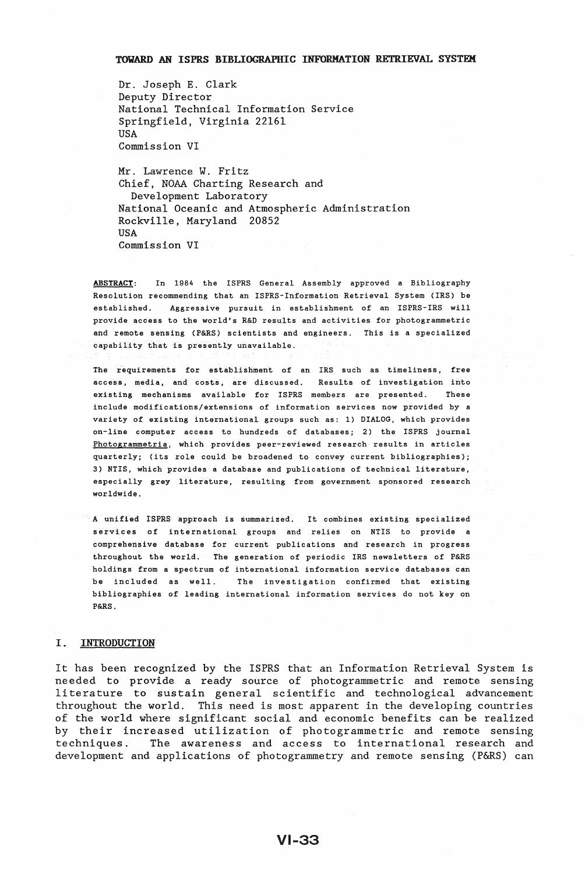## TOWARD AN ISPRS BIBLIOGRAPHIC INFORMATION RETRIEVAL SYSTEM:

Dr. Joseph E. Clark Deputy Director National Technical Information Service Springfield, Virginia 22161 **IISA** Commission VI

Mr. Lawrence W. Fritz Chief, NOAA Charting Research and Development Laboratory National Oceanic and Atmospheric Administration Rockville, Maryland 20852 USA Commission VI

ABSTRACT: In 1984 the ISPRS General Assembly approved a Bibliography Resolution recommending that an ISPRS-Information Retrieval System (IRS) be established. Aggressive pursuit in establishment of an ISPRS-IRS will provide access to the world's R&D results and activities for photogrammetric and remote sensing (P&RS) scientists and engineers. This is a specialized capability that is presently unavailable.

The requirements for establishment of an IRS such as timeliness, free access, media, and costs, are discussed. Results of investigation into existing mechanisms available for ISPRS members are presented. These include modifications/extensions of information services now provided by a variety of existing international groups such as: 1) DIALOG, which provides on-line computer access to hundreds of databases; 2) the ISPRS journal Photogrammetria, which provides peer-reviewed research results in articles quarterly; (its role could be broadened to convey current bibliographies); 3) NTIS, which provides a database and publications of technical literature, especially grey literature, resulting from government sponsored research worldwide.

A unified ISPRS approach is summarized. It combines existing specialized services of international groups and relies on NTIS to provide a comprehensive database for current publications and research in progress throughout the world. The generation of periodic IRS newsletters of P&RS holdings from a spectrum of international information service databases can be included as well. The investigation confirmed that existing bibliographies of leading international information services do not key on P&RS.

## I. INTRODUCTION

It has been recognized by the ISPRS that an Information Retrieval System is needed to provide a ready source of photogrammetric and remote sensing Ii terature to sustain general scientific and technological advancement throughout the world. This need is most apparent in the developing countries of the world where significant social and economic benefits can be realized by their increased utilization of photogrammetric and remote sensing techniques. The awareness and access to international research and development and applications of photogrammetry and remote sensing (P&RS) can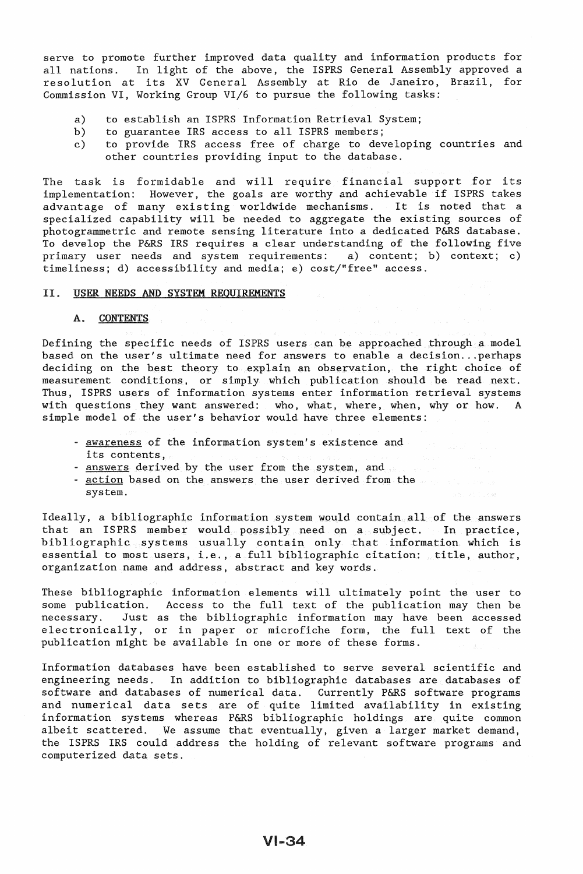serve to promote further improved data quality and information products for all nations. In light of the above, the ISPRS General Assembly approved a resolution at its XV General Assembly at Rio de Janeiro, Brazil, for Commission VI, Working Group VI/6 to pursue the following tasks:

- a) to establish an ISPRS Information Retrieval System;
- b) to guarantee IRS access to all ISPRS members;<br>c) to provide IRS access free of charge to dev
- c) to provide IRS access free of charge to developing countries and other countries providing input to the database.

The task is formidable and will require financial support for its implementation: However, the goals are worthy and achievable if ISPRS takes advantage of many existing worldwide mechanisms. specialized capability will be needed to aggregate the existing sources of photogrammetric and remote sensing literature into a dedicated P&RS database. To develop the P&RS IRS requires a clear understanding of the following five primary user needs and system requirements: a) content; b) context; c) timeliness; d) accessibility and media; e) cost/"free" access.

## II. USER NEEDS AND SYSTEM REQUIREMENTS

### A. CONTENTS

Defining the specific needs of ISPRS users can be approached through a model based on the user's ultimate need for answers to enable a decision ... perhaps deciding on the best theory to explain an observation, the right choice of measurement conditions, or simply which publication should be read next. Thus, ISPRS users of information systems enter information retrieval systems with questions they want answered: who, what, where, when, why or how. A simple model of the user's behavior would have three elements:

- awareness of the information system's existence and its contents,
- answers derived by the user from the system, and
- action based on the answers the user derived from the system.

Ideally, a bibliographic information system would contain all of the answers that an ISPRS member would possibly need on a subject. In practice, bibliographic systems usually contain only that information which is essential to most users, i.e., a full bibliographic citation: title, author, organization name and address, abstract and key words.

These bibliographic information elements will ultimately point the user to some publication. Access to the full text of the publication may then be necessary. Just as the bibliographic information may have been accessed electronically, or in paper or microfiche form, the full text of the publication might be available in one or more of these forms.

Information databases have been established to serve several scientific and engineering needs. In addition to bibliographic databases are databases of software and databases of numerical data. Currently P&RS software programs and numerical data sets are of quite limited availability in existing information systems whereas P&RS bibliographic holdings are quite common albeit scattered. We assume that eventually, given a larger market demand, the ISPRS IRS could address the holding of relevant software programs and computerized data sets.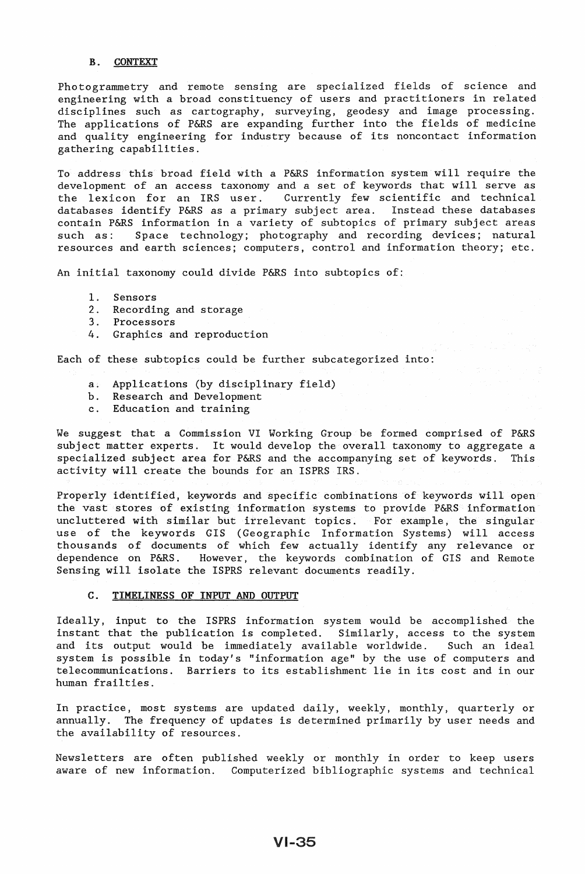## B. CONTEXT

Photogrammetry and remote sensing are specialized fields of science and engineering with a broad constituency of users and practitioners in related disciplines such as cartography, surveying, geodesy and image processing. The applications of P&RS are expanding further into the fields of medicine and quality engineering for industry because of its noncontact information gathering capabilities.

To address this broad field with a P&RS information system will require the development of an access taxonomy and a set of keywords that will serve as the lexicon for an IRS user. Currently few scientific and technical databases identify P&RS as a primary subject area. Instead these databases contain P&RS information in a variety of subtopics of primary subject areas such as: Space technology; photography and recording devices; natural resources and earth sciences; computers, control and information theory; etc.

An initial taxonomy could divide P&RS into subtopics of:

- 1. Sensors
- 2. Recording and storage
- 3. Processors
- 4. Graphics and reproduction

Each of these subtopics could be further subcategorized into:

- a. Applications (by disciplinary field)
- b. Research and Development
- c. Education and training

We suggest that a Commission VI Working Group be formed comprised of P&RS subject matter experts. It would develop the overall taxonomy to aggregate a specialized subject area for P&RS and the accompanying set of keywords. This activity will create the bounds for an ISPRS IRS.

Properly identified, keywords and specific combinations of keywords will open the vast stores of existing information systems to provide P&RS information uncluttered with similar but irrelevant topics. For example, the singular use of the keywords GIS (Geographic Information Systems) will access thousands of documents of which few actually identify any relevance or dependence on P&RS. However, the keywords combination of GIS and Remote However, the keywords combination of GIS and Remote Sensing will isolate the ISPRS relevant documents readily.

## C. TIMELINESS OF INPUT AND OUTPUT

Ideally, input to the ISPRS information system would be accomplished the instant that the publication is completed. Similarly, access to the system and its output would be immediately available worldwide. Such an ideal system is possible in today's "information age" by the use of computers and telecommunications. Barriers to its establishment lie in its cost and in our human frailties.

In practice, most systems are updated daily, weekly, monthly, quarterly or annually. The frequency of updates is determined primarily by user needs and the availability of resources.

Newsletters are often published weekly or monthly in order to keep users aware of new information. Computerized bibliographic systems and technical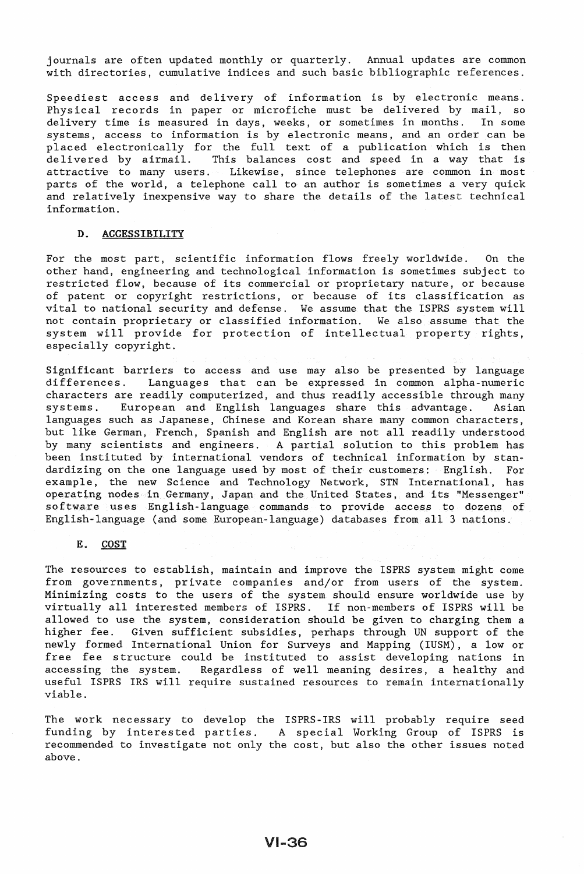journals are often updated monthly or quarterly. Annual updates are common with directories, cumulative indices and such basic bibliographic references.

Speediest access and delivery of information is by electronic means. Phys ical records in paper or microfiche must be delivered by mail, so delivery time is measured in days, weeks, or sometimes in months. In some systems, access to information is by electronic means, and an order can be placed electronically for the full text of a publication which is then praced erectronically for the fair coke of a pastroacion which is enon-<br>delivered by airmail. This balances cost and speed in a way that is attractive to many users. Likewise, since telephones are common in most parts of the world, a telephone call to an author is sometimes a very quick and relatively inexpensive way to share the details of the latest technical information.

## D. ACCESSIBILITY

For the most part, scientific information flows freely worldwide. On the other hand, engineering and technological information is sometimes subject to restricted flow, because of its commercial or proprietary nature, or because of patent or copyright restrictions, or because of its classification as vital to national security and defense. We assume that the ISPRS system will not contain proprietary or classified information. We also assume that the system will provide for protection of intellectual property rights, especially copyright.

Significant barriers to access and use may also be presented by language differences. Languages that can be expressed in common alpha-numeric characters are readily computerized, and thus readily accessible through many systems. European and English languages share this advantage. Asian languages such as Japanese, Chinese and Korean share many common characters, but like German, French, Spanish and English are not all readily understood by many scientists and engineers. A partial solution to this problem has been instituted by international vendors of technical information by standardizing on the one language used by most of their customers: English. For example, the new Science and Technology Network, STN International, has operating nodes in Germany, Japan and the United States, and its "Messenger" software uses English-language commands to provide access to dozens of English-language (and some European-language) databases from all 3 nations.

# E. COST

The resources to establish, maintain and improve the ISPRS system might come from governments, private companies and/or from users of the system. Minimizing costs to the users of the system should ensure worldwide use by virtually all interested members of ISPRS. If non-members of ISPRS will be allowed to use the system, consideration should be given to charging them a<br>higher fee. Given sufficient subsidies, perhaps through UN support of the Given sufficient subsidies, perhaps through UN support of the newly formed International Union for Surveys and Mapping (IUSM), a low or free fee structure could be instituted to assist developing nations in accessing the system. Regardless of well meaning desires, a healthy and useful ISPRS IRS will require sustained resources to remain internationally viable.

The work necessary to develop the ISPRS-IRS will probably require seed funding by interested parties. A special Working Group of ISPRS is recommended to investigate not only the cost, but also the other issues noted above.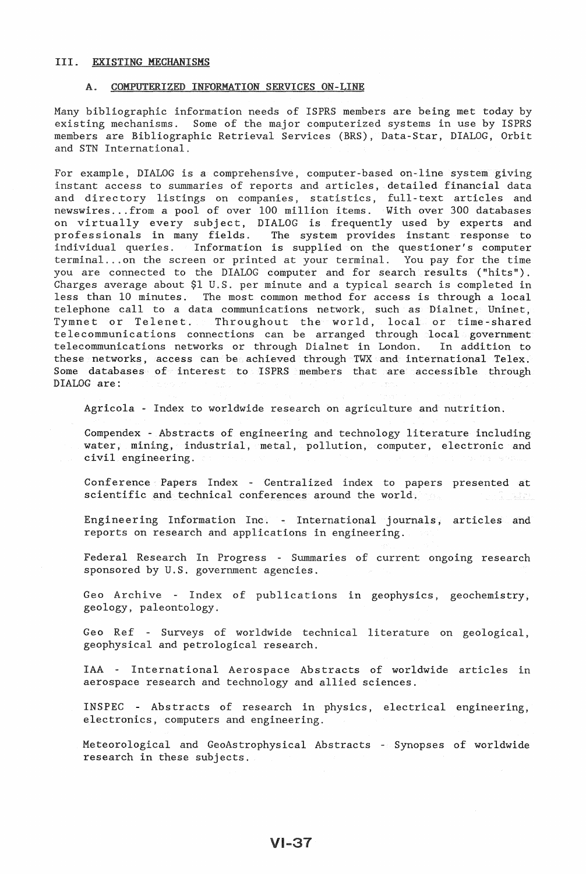### III. EXISTING MECHANISMS

#### COMPUTERIZED INFORMATION SERVICES ON-LINE A.

Many bibliographic information needs of ISPRS members are being met today by existing mechanisms. Some of the major computerized systems in use by ISPRS members are Bibliographic Retrieval Services (BRS) , Data-Star, DIALOG, Orbit and STN International.

For example, DIALOG is a comprehensive, computer-based on-line system giving instant access to summaries of reports and articles, detailed financial data and directory listings on companies, statistics, full-text articles and newswires ... from a pool of over 100 million items. With over 300 databases on virtually every subject, DIALOG is frequently used by experts and professionals in many fields. The system provides instant response to individual queries. Information is supplied on the questioner's computer terminal...on the screen or printed at your terminal. You pay for the time you are connected to the DIALOG computer and for search results ("hits"). Charges average about \$1 U.S. per minute and a typical search is completed in less than 10 minutes. The most common method for access is through a local telephone call to a data communications network, such as Dialnet, Uninet,<br>Tymnet or Telenet, Throughout the world, local or time-shared Throughout the world, local or time-shared telecommunications connections can be arranged through local government telecommunications networks or through Dialnet in London. In addition to these networks, access can be achieved through TWX and international Telex. Some databases of interest to ISPRS members that are accessible through DIALOG are:

Agricola - Index to worldwide research on agriculture and nutrition.

Compendex - Abstracts of engineering and technology literature including water, mining, industrial, metal, pollution, computer, electronic and civil engineering.

Conference Papers Index Centralized index to papers presented at scientific and technical conferences around the world.

Engineering Information Inc. International journals, articles and reports on research and applications in engineering.

Federal Research In Progress - Summaries of current ongoing research sponsored by U.S. government agencies.

Geo Archive - Index of publications in geophysics, geochemistry, geology, paleontology.

Geo Ref - Surveys of worldwide technical literature on geological, geophysical and petrological research.

IAA - International Aerospace Abstracts of worldwide articles in aerospace research and technology and allied sciences.

INSPEC Abstracts of research in physics, electrical engineering, electronics, computers and engineering.

Meteorological and GeoAstrophysical Abstracts - Synopses of worldwide research in these subjects.

 $V - 37$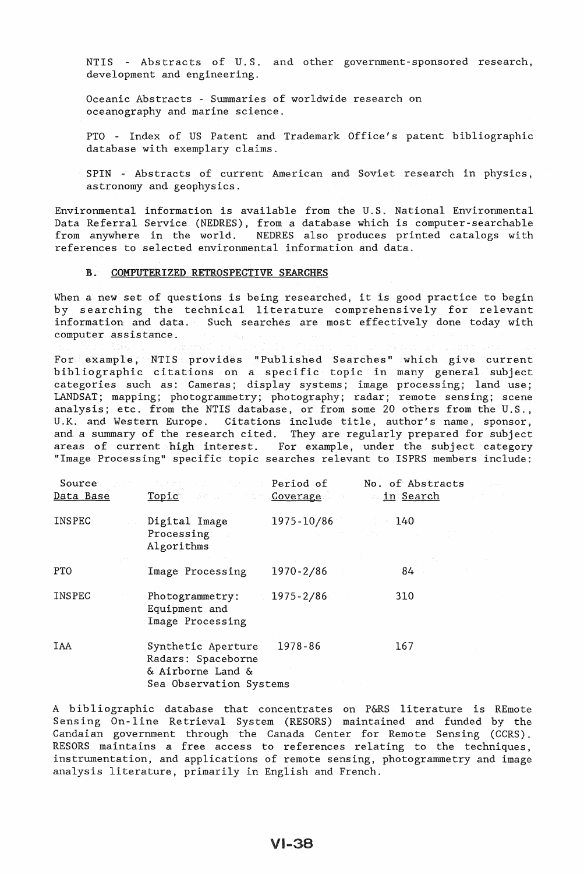NTIS - Abstracts of U.S. and other government-sponsored research, development and engineering.

Oceanic Abstracts - Summaries of worldwide research on oceanography and marine science.

PTO - Index of US Patent and Trademark Office's patent bibliographic database with exemplary claims.

SPIN - Abstracts of current American and Soviet research in physics, astronomy and geophysics.

Environmental information is available from the U. S. National Environmental Data Referral Service (NEDRES), from a database which is computer-searchable from anywhere in the world. NEDRES also produces printed catalogs with references to selected environmental information and data.

## B. COMPUTERIZED RETROSPECTIVE SEARCHES

When a new set of questions is being researched, it is good practice to begin by searching the technical literature comprehensively for relevant information and data. Such searches are most effectively done today with computer assistance.

For example, NTIS provides "Published Searches" which give current bibliographic citations on a specific topic in many general subject categories such as: Cameras; display systems; image processing; land use; LANDSAT; mapping; photogrammetry; photography; radar; remote sensing; scene analysis; etc. from the NTIS database, or from some 20 others from the U.S., U.K. and Western Europe. Citations include title, author's name, sponsor, and a summary of the research cited. They are regularly prepared for subject areas of current high interest. For example, under the subject category "Image Processing" specific topic searches relevant to ISPRS members include:

| Source<br>Data Base | <b>Example 2018 Period of</b><br>Topic Manuscript Coverage                               |                                         | No. of Abstracts<br><u>n Search in</u> |  |
|---------------------|------------------------------------------------------------------------------------------|-----------------------------------------|----------------------------------------|--|
| INSPEC              | Digital Image<br>Processing<br>Algorithms                                                | 1975-10/86<br>그는 아직 아직 사람들은 아직 사람들이 없다. | 140                                    |  |
| PTO.                | Image Processing                                                                         | 1970-2/86                               | 84                                     |  |
| <b>INSPEC</b>       | Photogrammetry:<br>Equipment and<br>Image Processing                                     | $1975 - 2/86$                           | 310                                    |  |
| IAA                 | Synthetic Aperture<br>Radars: Spaceborne<br>& Airborne Land &<br>Sea Observation Systems | 1978-86                                 | 167                                    |  |

A bibliographic database that concentrates on P&RS literature is REmote Sensing On-line Retrieval System (RESORS) maintained and funded by the Candaian government through the Canada Center for Remote Sensing (CCRS). RESORS maintains a free access to references relating to the techniques, instrumentation, and applications of remote sensing, photogrammetry and image analysis literature, primarily in English and French .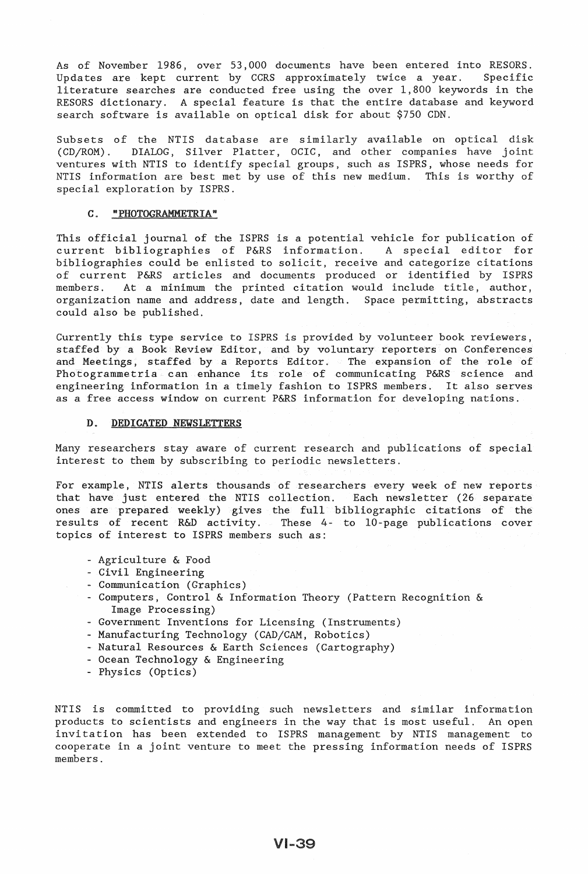As of November 1986, over 53,000 documents have been entered into RESORS.<br>Updates are kept current by CCRS approximately twice a year. Specific Updates are kept current by CCRS approximately twice a year. literature searches are conducted free using the over 1,800 keywords in the RESORS dictionary. A special feature is that the entire database and keyword search software is available on optical disk for about \$750 CDN.

Subsets of the NTIS database are similarly available on optical disk (CD/ROM) . DIALOG, Silver Platter, *OCIC,* and other companies have joint ventures with NTIS to identify special groups, such as ISPRS, whose needs for NTIS information are best met by use of this new medium. This is worthy of special exploration by ISPRS.

#### "PHOTOGRAMMETRIA" C.

This official journal of the ISPRS is a potential vehicle for publication of current bibliographies of P&RS information. A special editor for bibliographies could be enlisted to solicit, receive and categorize citations of current P&RS articles and documents produced or identified by ISPRS members. At a minimum the printed citation would include title, author, organization name and address, date and length. Space permitting, abstracts could also be published.

Currently this type service to ISPRS is provided by volunteer book reviewers, staffed by a Book Review Editor, and by voluntary reporters on Conferences and Meetings, staffed by a Reports Editor. The expansion of the role of Photogrammetria can enhance its role of communicating P&RS science and engineering information in a timely fashion to ISPRS members. It also serves as a free access window on current P&RS information for developing nations.

## D. DEDICATED NEWSLETTERS

Many researchers stay aware of current research and publications of special interest to them by subscribing to periodic newsletters.

For example, NTIS alerts thousands of researchers every week of new reports that have just entered the NTIS collection. Each newsletter (26 separate ones are prepared weekly) gives the full bibliographic citations of the results of recent R&D activity. These 4- to 10-page publications cover topics of interest to ISPRS members such as:

- Agriculture & Food
- Civil Engineering
- Communication (Graphics)
- Computers, Control & Information Theory (Pattern Recognition & Image Processing)
- Government Inventions for Licensing (Instruments)
- Manufacturing Technology (CAD/CAM, Robotics)
- Natural Resources & Earth Sciences (Cartography)
- Ocean Technology & Engineering
- Physics (Optics)

NTIS is committed to providing such newsletters and similar information products to scientists and engineers in the way that is most useful. An open invitation has been extended to ISPRS management by NTIS management to cooperate in a joint venture to meet the pressing information needs of ISPRS members.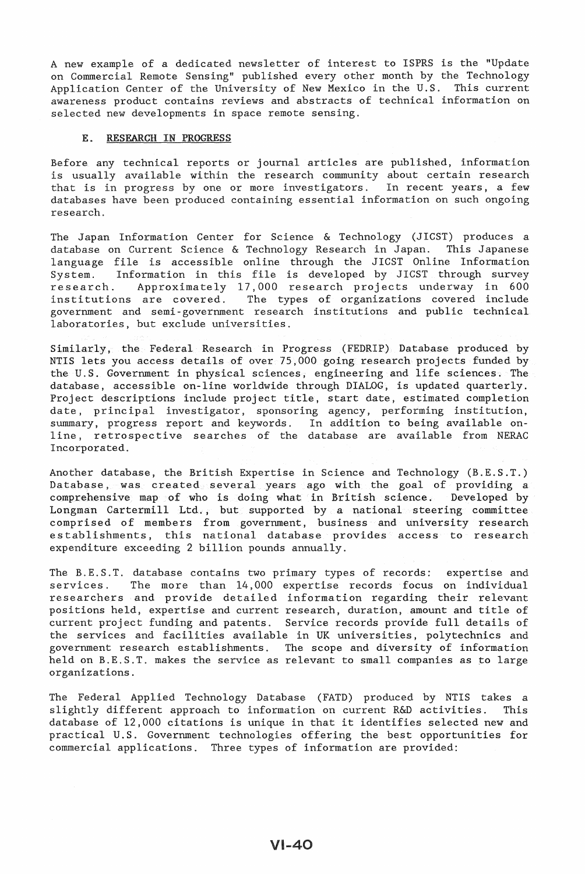A new example of a dedicated newsletter of interest to ISPRS is the "Update on Commercial Remote Sensing" published every other month by the Technology Application Center of the University of New Mexico in the U.S. This current awareness product contains reviews and abstracts of technical information on selected new developments in space remote sensing.

## E. RESEARCH IN PROGRESS

Before any technical reports or journal articles are published, information is usually available within the research community about certain research that is in progress by one or more investigators. In recent years, a few databases have been produced containing essential information on such ongoing research.

The Japan Information Center for Science & Technology (JICST) produces a database on Current Science & Technology Research in Japan. This Japanese language file is accessible online through the JICST Online Information System. Information in this file is developed by JICST through survey research. Approximately 17,000 research projects underway in 600 institutions are covered. The types of organizations covered include government and semi-government research institutions and public technical laboratories, but exclude universities.

Similarly, the Federal Research in Progress (FEDRIP) Database produced by NTIS lets you access details of over 75,000 going research projects funded by the U.S. Government in physical sciences, engineering and life sciences. The database, accessible on-line worldwide through DIALOG, is updated quarterly. Project descriptions include project title, start date, estimated completion date, principal investigator, sponsoring agency, performing institution, summary, progress report and keywords. In addition to being available online, retrospective searches of the database are available from NERAC Incorporated.

Another database, the British Expertise in Science and Technology (B.E.S.T.) Database, was created several years ago with the goal of providing a comprehensive map of who is doing what in British science. Developed by Longman Cartermill Ltd., but supported by a national steering committee comprised of members from government, business and university research establishments, this national database provides access to research expenditure exceeding 2 billion pounds annually.

The B.E.S.T. database contains two primary types of records: expertise and services. The more than 14,000 expertise records focus on individual researchers and provide detailed information regarding their relevant positions held, expertise and current research, duration, amount and title of current project funding and patents. Service records provide full details of the services and facilities available in UK universities, polytechnics and government research establishments. The scope and diversity of information held on B.E.S.T. makes the service as relevant to small companies as to large organizations.

The Federal Applied Technology Database (FATD) produced by NTIS takes a slightly different approach to information on current R&D activities. This database of 12,000 citations is unique in that it identifies selected new and practical U. S. Government technologies offering the best opportunities for commercial applications. Three types of information are provided: